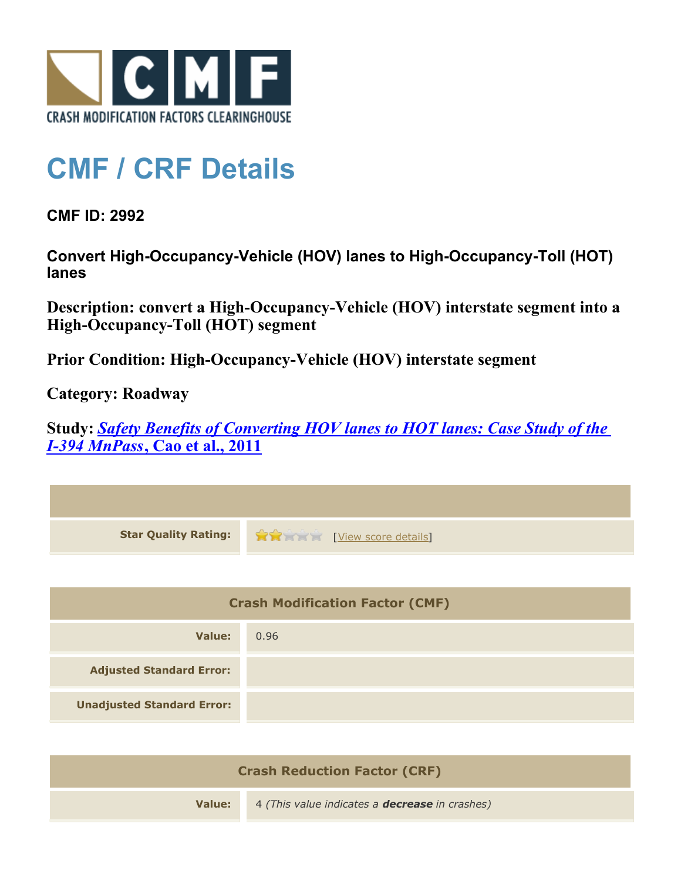

## **CMF / CRF Details**

**CMF ID: 2992**

**Convert High-Occupancy-Vehicle (HOV) lanes to High-Occupancy-Toll (HOT) lanes**

**Description: convert a High-Occupancy-Vehicle (HOV) interstate segment into a High-Occupancy-Toll (HOT) segment**

**Prior Condition: High-Occupancy-Vehicle (HOV) interstate segment**

**Category: Roadway**

**Study:** *[Safety Benefits of Converting HOV lanes to HOT lanes: Case Study of the](http://www.cmfclearinghouse.org/study_detail.cfm?stid=208) [I-394 MnPass](http://www.cmfclearinghouse.org/study_detail.cfm?stid=208)***[, Cao et al., 2011](http://www.cmfclearinghouse.org/study_detail.cfm?stid=208)**

| <b>Star Quality Rating:</b>            | View score details |  |
|----------------------------------------|--------------------|--|
|                                        |                    |  |
| <b>Crash Modification Factor (CMF)</b> |                    |  |
| <b>Value:</b>                          | 0.96               |  |
| <b>Adjusted Standard Error:</b>        |                    |  |
| <b>Unadjusted Standard Error:</b>      |                    |  |
|                                        |                    |  |

| <b>Crash Reduction Factor (CRF)</b> |                                                       |  |
|-------------------------------------|-------------------------------------------------------|--|
| Value:                              | 4 (This value indicates a <b>decrease</b> in crashes) |  |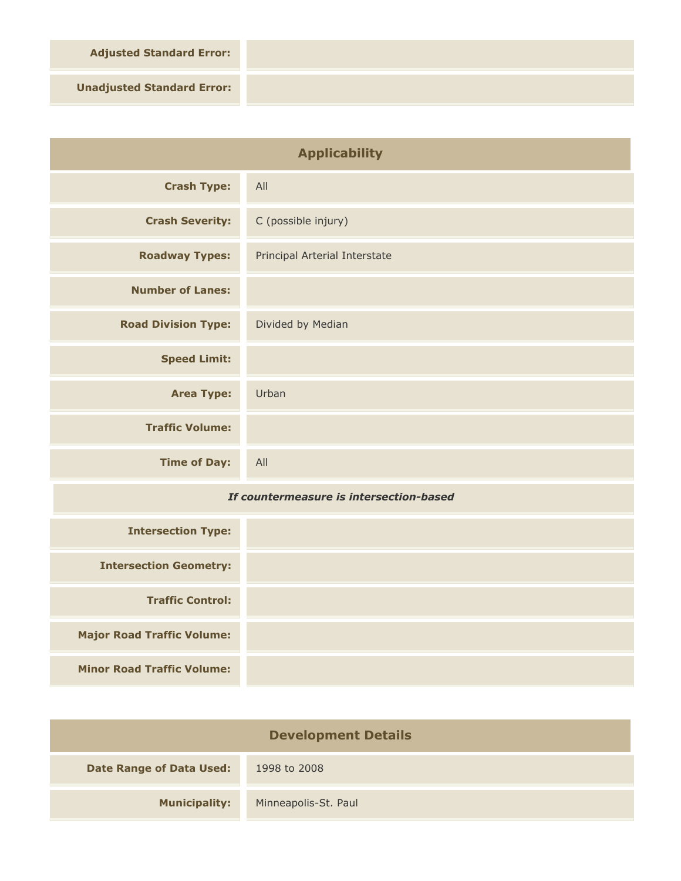**Adjusted Standard Error:**

**Unadjusted Standard Error:**

| <b>Applicability</b>                    |                               |
|-----------------------------------------|-------------------------------|
| <b>Crash Type:</b>                      | All                           |
| <b>Crash Severity:</b>                  | C (possible injury)           |
| <b>Roadway Types:</b>                   | Principal Arterial Interstate |
| <b>Number of Lanes:</b>                 |                               |
| <b>Road Division Type:</b>              | Divided by Median             |
| <b>Speed Limit:</b>                     |                               |
| <b>Area Type:</b>                       | Urban                         |
| <b>Traffic Volume:</b>                  |                               |
| <b>Time of Day:</b>                     | All                           |
| If countermeasure is intersection-based |                               |
| <b>Intersection Type:</b>               |                               |
| <b>Intersection Geometry:</b>           |                               |
| <b>Traffic Control:</b>                 |                               |
| <b>Major Road Traffic Volume:</b>       |                               |

**Minor Road Traffic Volume:**

| <b>Development Details</b>      |                      |  |
|---------------------------------|----------------------|--|
| <b>Date Range of Data Used:</b> | 1998 to 2008         |  |
| <b>Municipality:</b>            | Minneapolis-St. Paul |  |